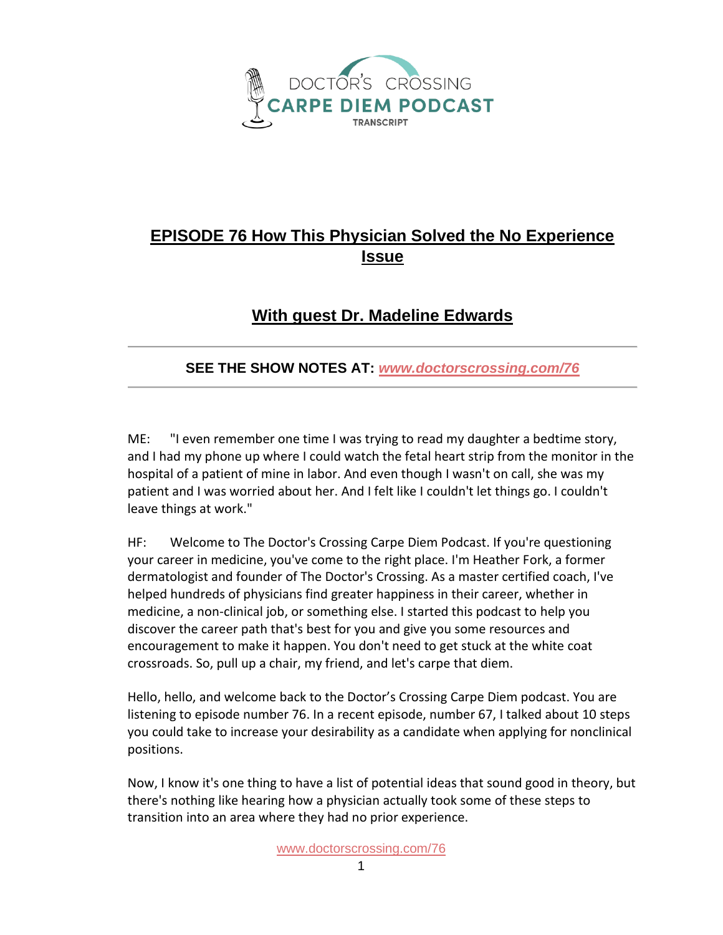

## **EPISODE 76 How This Physician Solved the No Experience Issue**

## **With guest Dr. Madeline Edwards**

## **SEE THE SHOW NOTES AT:** *[www.doctorscrossing.com/76](http://www.doctorscrossing.com/76)*

ME: "I even remember one time I was trying to read my daughter a bedtime story, and I had my phone up where I could watch the fetal heart strip from the monitor in the hospital of a patient of mine in labor. And even though I wasn't on call, she was my patient and I was worried about her. And I felt like I couldn't let things go. I couldn't leave things at work."

HF: Welcome to The Doctor's Crossing Carpe Diem Podcast. If you're questioning your career in medicine, you've come to the right place. I'm Heather Fork, a former dermatologist and founder of The Doctor's Crossing. As a master certified coach, I've helped hundreds of physicians find greater happiness in their career, whether in medicine, a non-clinical job, or something else. I started this podcast to help you discover the career path that's best for you and give you some resources and encouragement to make it happen. You don't need to get stuck at the white coat crossroads. So, pull up a chair, my friend, and let's carpe that diem.

Hello, hello, and welcome back to the Doctor's Crossing Carpe Diem podcast. You are listening to episode number 76. In a recent episode, number 67, I talked about 10 steps you could take to increase your desirability as a candidate when applying for nonclinical positions.

Now, I know it's one thing to have a list of potential ideas that sound good in theory, but there's nothing like hearing how a physician actually took some of these steps to transition into an area where they had no prior experience.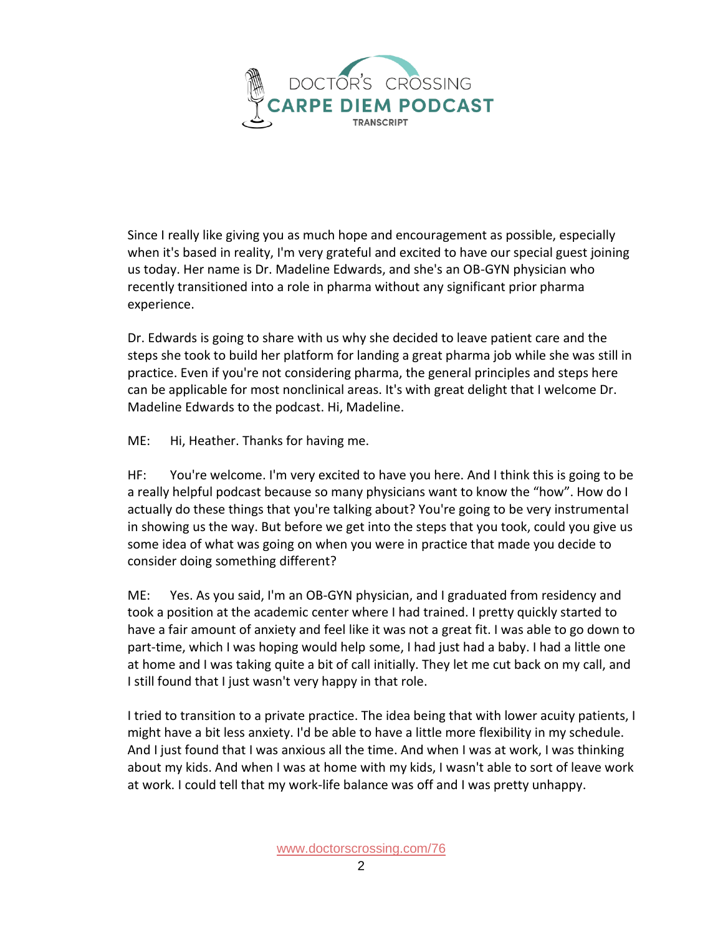

Since I really like giving you as much hope and encouragement as possible, especially when it's based in reality, I'm very grateful and excited to have our special guest joining us today. Her name is Dr. Madeline Edwards, and she's an OB-GYN physician who recently transitioned into a role in pharma without any significant prior pharma experience.

Dr. Edwards is going to share with us why she decided to leave patient care and the steps she took to build her platform for landing a great pharma job while she was still in practice. Even if you're not considering pharma, the general principles and steps here can be applicable for most nonclinical areas. It's with great delight that I welcome Dr. Madeline Edwards to the podcast. Hi, Madeline.

ME: Hi, Heather. Thanks for having me.

HF: You're welcome. I'm very excited to have you here. And I think this is going to be a really helpful podcast because so many physicians want to know the "how". How do I actually do these things that you're talking about? You're going to be very instrumental in showing us the way. But before we get into the steps that you took, could you give us some idea of what was going on when you were in practice that made you decide to consider doing something different?

ME: Yes. As you said, I'm an OB-GYN physician, and I graduated from residency and took a position at the academic center where I had trained. I pretty quickly started to have a fair amount of anxiety and feel like it was not a great fit. I was able to go down to part-time, which I was hoping would help some, I had just had a baby. I had a little one at home and I was taking quite a bit of call initially. They let me cut back on my call, and I still found that I just wasn't very happy in that role.

I tried to transition to a private practice. The idea being that with lower acuity patients, I might have a bit less anxiety. I'd be able to have a little more flexibility in my schedule. And I just found that I was anxious all the time. And when I was at work, I was thinking about my kids. And when I was at home with my kids, I wasn't able to sort of leave work at work. I could tell that my work-life balance was off and I was pretty unhappy.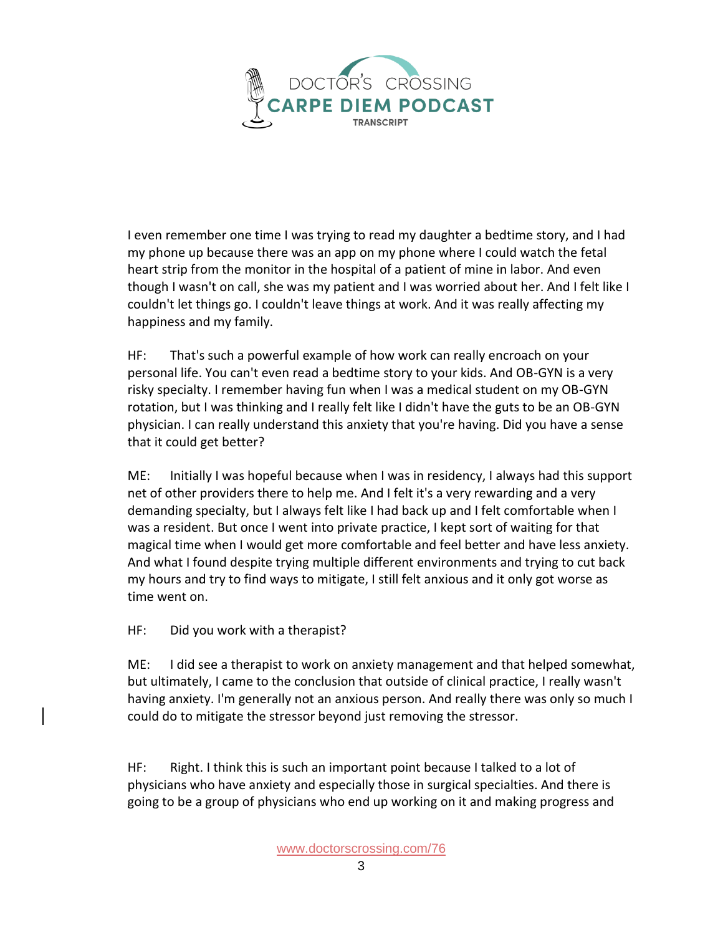

I even remember one time I was trying to read my daughter a bedtime story, and I had my phone up because there was an app on my phone where I could watch the fetal heart strip from the monitor in the hospital of a patient of mine in labor. And even though I wasn't on call, she was my patient and I was worried about her. And I felt like I couldn't let things go. I couldn't leave things at work. And it was really affecting my happiness and my family.

HF: That's such a powerful example of how work can really encroach on your personal life. You can't even read a bedtime story to your kids. And OB-GYN is a very risky specialty. I remember having fun when I was a medical student on my OB-GYN rotation, but I was thinking and I really felt like I didn't have the guts to be an OB-GYN physician. I can really understand this anxiety that you're having. Did you have a sense that it could get better?

ME: Initially I was hopeful because when I was in residency, I always had this support net of other providers there to help me. And I felt it's a very rewarding and a very demanding specialty, but I always felt like I had back up and I felt comfortable when I was a resident. But once I went into private practice, I kept sort of waiting for that magical time when I would get more comfortable and feel better and have less anxiety. And what I found despite trying multiple different environments and trying to cut back my hours and try to find ways to mitigate, I still felt anxious and it only got worse as time went on.

HF: Did you work with a therapist?

ME: I did see a therapist to work on anxiety management and that helped somewhat, but ultimately, I came to the conclusion that outside of clinical practice, I really wasn't having anxiety. I'm generally not an anxious person. And really there was only so much I could do to mitigate the stressor beyond just removing the stressor.

HF: Right. I think this is such an important point because I talked to a lot of physicians who have anxiety and especially those in surgical specialties. And there is going to be a group of physicians who end up working on it and making progress and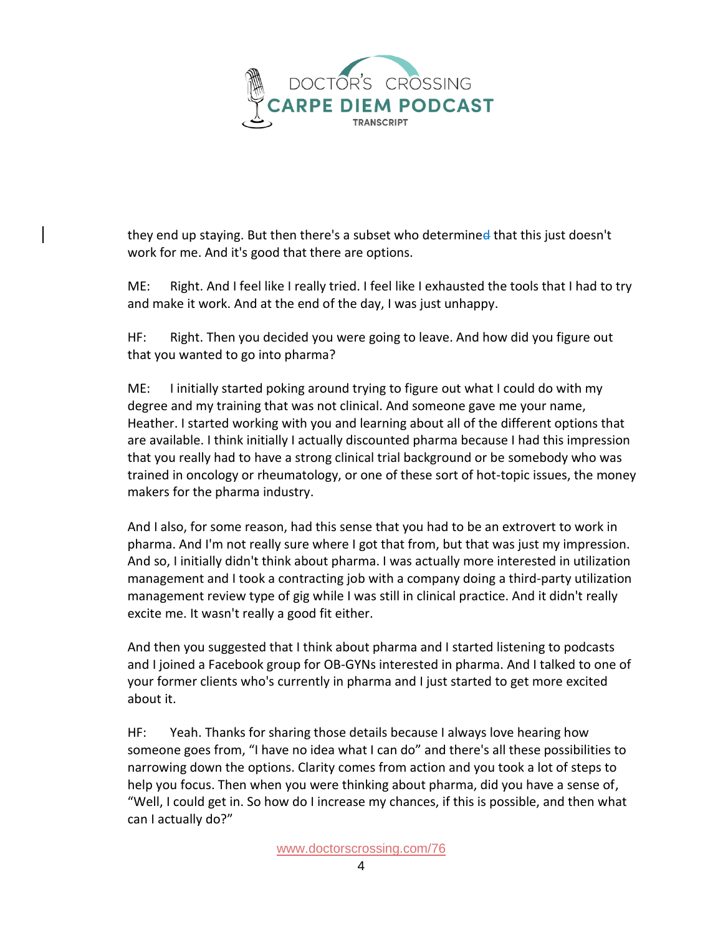

they end up staying. But then there's a subset who determined that this just doesn't work for me. And it's good that there are options.

ME: Right. And I feel like I really tried. I feel like I exhausted the tools that I had to try and make it work. And at the end of the day, I was just unhappy.

HF: Right. Then you decided you were going to leave. And how did you figure out that you wanted to go into pharma?

ME: I initially started poking around trying to figure out what I could do with my degree and my training that was not clinical. And someone gave me your name, Heather. I started working with you and learning about all of the different options that are available. I think initially I actually discounted pharma because I had this impression that you really had to have a strong clinical trial background or be somebody who was trained in oncology or rheumatology, or one of these sort of hot-topic issues, the money makers for the pharma industry.

And I also, for some reason, had this sense that you had to be an extrovert to work in pharma. And I'm not really sure where I got that from, but that was just my impression. And so, I initially didn't think about pharma. I was actually more interested in utilization management and I took a contracting job with a company doing a third-party utilization management review type of gig while I was still in clinical practice. And it didn't really excite me. It wasn't really a good fit either.

And then you suggested that I think about pharma and I started listening to podcasts and I joined a Facebook group for OB-GYNs interested in pharma. And I talked to one of your former clients who's currently in pharma and I just started to get more excited about it.

HF: Yeah. Thanks for sharing those details because I always love hearing how someone goes from, "I have no idea what I can do" and there's all these possibilities to narrowing down the options. Clarity comes from action and you took a lot of steps to help you focus. Then when you were thinking about pharma, did you have a sense of, "Well, I could get in. So how do I increase my chances, if this is possible, and then what can I actually do?"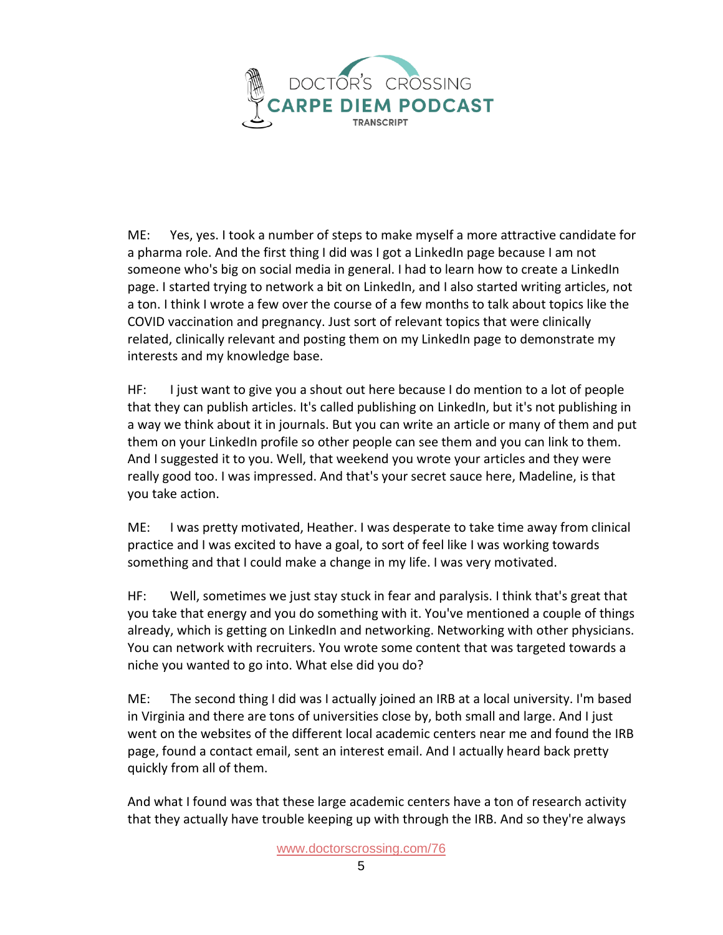

ME: Yes, yes. I took a number of steps to make myself a more attractive candidate for a pharma role. And the first thing I did was I got a LinkedIn page because I am not someone who's big on social media in general. I had to learn how to create a LinkedIn page. I started trying to network a bit on LinkedIn, and I also started writing articles, not a ton. I think I wrote a few over the course of a few months to talk about topics like the COVID vaccination and pregnancy. Just sort of relevant topics that were clinically related, clinically relevant and posting them on my LinkedIn page to demonstrate my interests and my knowledge base.

HF: I just want to give you a shout out here because I do mention to a lot of people that they can publish articles. It's called publishing on LinkedIn, but it's not publishing in a way we think about it in journals. But you can write an article or many of them and put them on your LinkedIn profile so other people can see them and you can link to them. And I suggested it to you. Well, that weekend you wrote your articles and they were really good too. I was impressed. And that's your secret sauce here, Madeline, is that you take action.

ME: I was pretty motivated, Heather. I was desperate to take time away from clinical practice and I was excited to have a goal, to sort of feel like I was working towards something and that I could make a change in my life. I was very motivated.

HF: Well, sometimes we just stay stuck in fear and paralysis. I think that's great that you take that energy and you do something with it. You've mentioned a couple of things already, which is getting on LinkedIn and networking. Networking with other physicians. You can network with recruiters. You wrote some content that was targeted towards a niche you wanted to go into. What else did you do?

ME: The second thing I did was I actually joined an IRB at a local university. I'm based in Virginia and there are tons of universities close by, both small and large. And I just went on the websites of the different local academic centers near me and found the IRB page, found a contact email, sent an interest email. And I actually heard back pretty quickly from all of them.

And what I found was that these large academic centers have a ton of research activity that they actually have trouble keeping up with through the IRB. And so they're always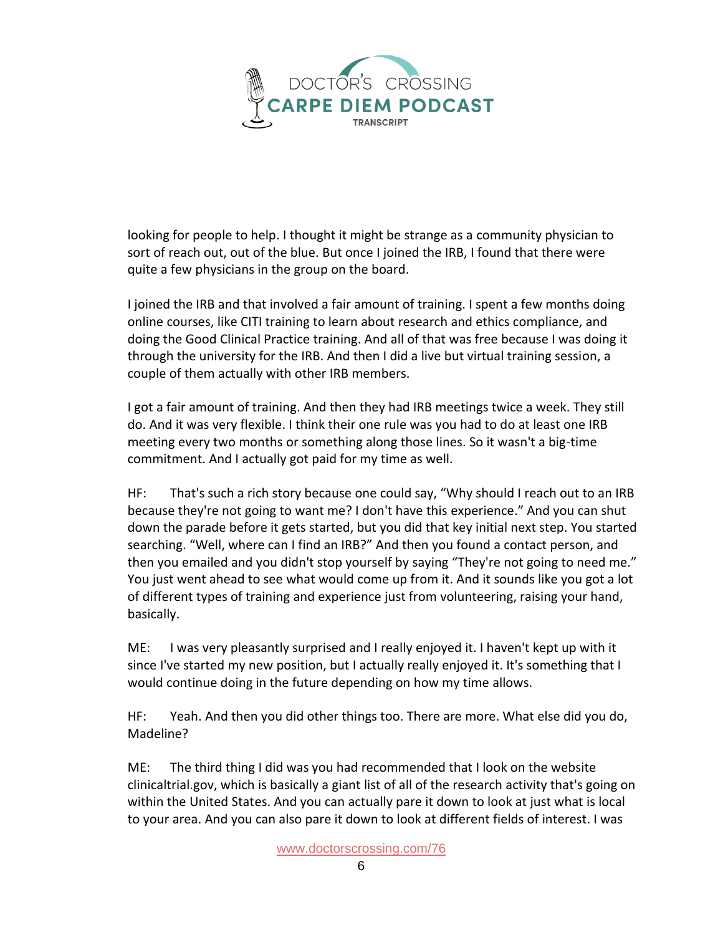

looking for people to help. I thought it might be strange as a community physician to sort of reach out, out of the blue. But once I joined the IRB, I found that there were quite a few physicians in the group on the board.

I joined the IRB and that involved a fair amount of training. I spent a few months doing online courses, like CITI training to learn about research and ethics compliance, and doing the Good Clinical Practice training. And all of that was free because I was doing it through the university for the IRB. And then I did a live but virtual training session, a couple of them actually with other IRB members.

I got a fair amount of training. And then they had IRB meetings twice a week. They still do. And it was very flexible. I think their one rule was you had to do at least one IRB meeting every two months or something along those lines. So it wasn't a big-time commitment. And I actually got paid for my time as well.

HF: That's such a rich story because one could say, "Why should I reach out to an IRB because they're not going to want me? I don't have this experience." And you can shut down the parade before it gets started, but you did that key initial next step. You started searching. "Well, where can I find an IRB?" And then you found a contact person, and then you emailed and you didn't stop yourself by saying "They're not going to need me." You just went ahead to see what would come up from it. And it sounds like you got a lot of different types of training and experience just from volunteering, raising your hand, basically.

ME: I was very pleasantly surprised and I really enjoyed it. I haven't kept up with it since I've started my new position, but I actually really enjoyed it. It's something that I would continue doing in the future depending on how my time allows.

HF: Yeah. And then you did other things too. There are more. What else did you do, Madeline?

ME: The third thing I did was you had recommended that I look on the website clinicaltrial.gov, which is basically a giant list of all of the research activity that's going on within the United States. And you can actually pare it down to look at just what is local to your area. And you can also pare it down to look at different fields of interest. I was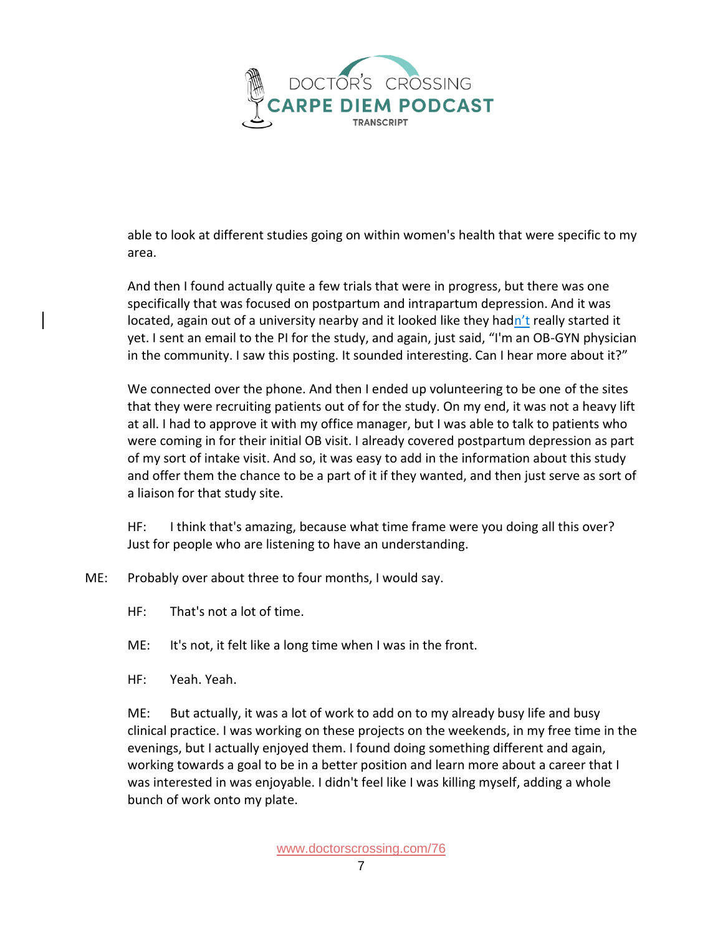

able to look at different studies going on within women's health that were specific to my area.

And then I found actually quite a few trials that were in progress, but there was one specifically that was focused on postpartum and intrapartum depression. And it was located, again out of a university nearby and it looked like they hadn't really started it yet. I sent an email to the PI for the study, and again, just said, "I'm an OB-GYN physician in the community. I saw this posting. It sounded interesting. Can I hear more about it?"

We connected over the phone. And then I ended up volunteering to be one of the sites that they were recruiting patients out of for the study. On my end, it was not a heavy lift at all. I had to approve it with my office manager, but I was able to talk to patients who were coming in for their initial OB visit. I already covered postpartum depression as part of my sort of intake visit. And so, it was easy to add in the information about this study and offer them the chance to be a part of it if they wanted, and then just serve as sort of a liaison for that study site.

HF: I think that's amazing, because what time frame were you doing all this over? Just for people who are listening to have an understanding.

ME: Probably over about three to four months, I would say.

HF: That's not a lot of time.

ME: It's not, it felt like a long time when I was in the front.

HF: Yeah. Yeah.

ME: But actually, it was a lot of work to add on to my already busy life and busy clinical practice. I was working on these projects on the weekends, in my free time in the evenings, but I actually enjoyed them. I found doing something different and again, working towards a goal to be in a better position and learn more about a career that I was interested in was enjoyable. I didn't feel like I was killing myself, adding a whole bunch of work onto my plate.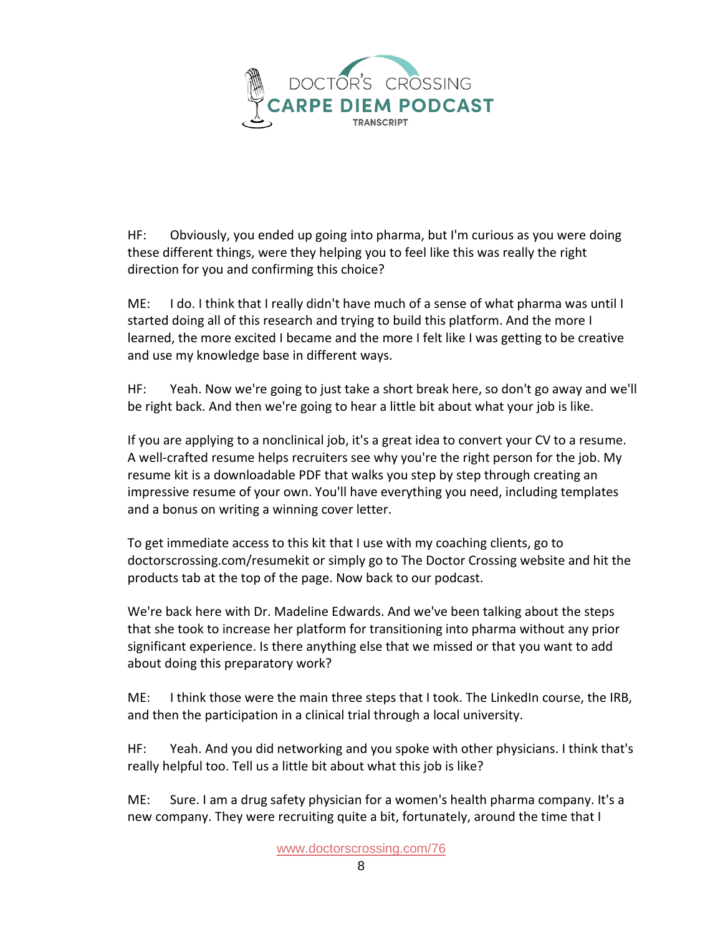

HF: Obviously, you ended up going into pharma, but I'm curious as you were doing these different things, were they helping you to feel like this was really the right direction for you and confirming this choice?

ME: I do. I think that I really didn't have much of a sense of what pharma was until I started doing all of this research and trying to build this platform. And the more I learned, the more excited I became and the more I felt like I was getting to be creative and use my knowledge base in different ways.

HF: Yeah. Now we're going to just take a short break here, so don't go away and we'll be right back. And then we're going to hear a little bit about what your job is like.

If you are applying to a nonclinical job, it's a great idea to convert your CV to a resume. A well-crafted resume helps recruiters see why you're the right person for the job. My resume kit is a downloadable PDF that walks you step by step through creating an impressive resume of your own. You'll have everything you need, including templates and a bonus on writing a winning cover letter.

To get immediate access to this kit that I use with my coaching clients, go to doctorscrossing.com/resumekit or simply go to The Doctor Crossing website and hit the products tab at the top of the page. Now back to our podcast.

We're back here with Dr. Madeline Edwards. And we've been talking about the steps that she took to increase her platform for transitioning into pharma without any prior significant experience. Is there anything else that we missed or that you want to add about doing this preparatory work?

ME: I think those were the main three steps that I took. The LinkedIn course, the IRB, and then the participation in a clinical trial through a local university.

HF: Yeah. And you did networking and you spoke with other physicians. I think that's really helpful too. Tell us a little bit about what this job is like?

ME: Sure. I am a drug safety physician for a women's health pharma company. It's a new company. They were recruiting quite a bit, fortunately, around the time that I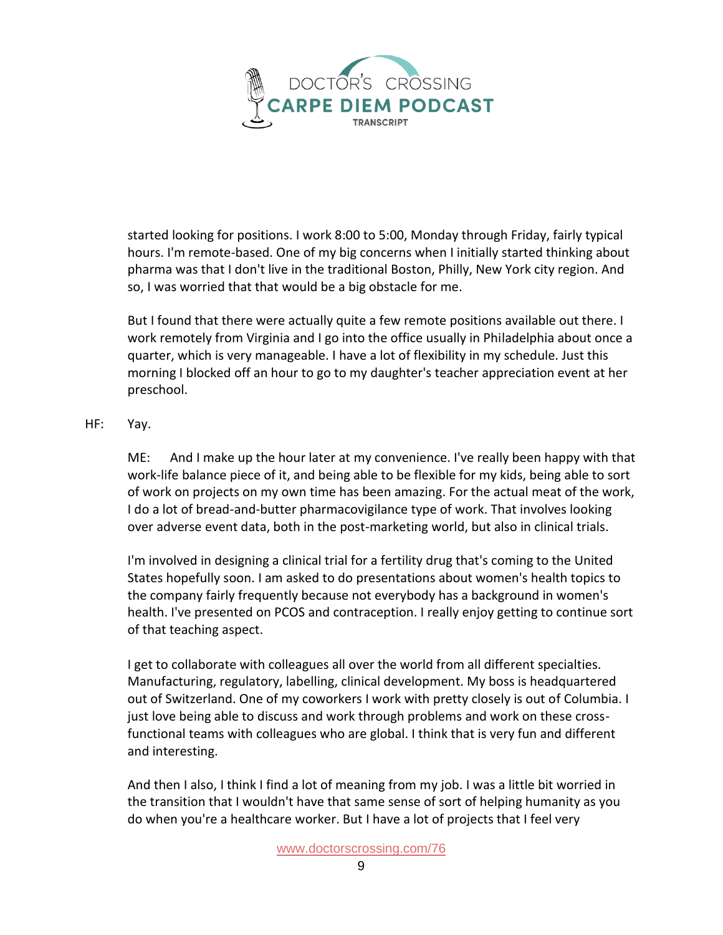

started looking for positions. I work 8:00 to 5:00, Monday through Friday, fairly typical hours. I'm remote-based. One of my big concerns when I initially started thinking about pharma was that I don't live in the traditional Boston, Philly, New York city region. And so, I was worried that that would be a big obstacle for me.

But I found that there were actually quite a few remote positions available out there. I work remotely from Virginia and I go into the office usually in Philadelphia about once a quarter, which is very manageable. I have a lot of flexibility in my schedule. Just this morning I blocked off an hour to go to my daughter's teacher appreciation event at her preschool.

## HF: Yay.

ME: And I make up the hour later at my convenience. I've really been happy with that work-life balance piece of it, and being able to be flexible for my kids, being able to sort of work on projects on my own time has been amazing. For the actual meat of the work, I do a lot of bread-and-butter pharmacovigilance type of work. That involves looking over adverse event data, both in the post-marketing world, but also in clinical trials.

I'm involved in designing a clinical trial for a fertility drug that's coming to the United States hopefully soon. I am asked to do presentations about women's health topics to the company fairly frequently because not everybody has a background in women's health. I've presented on PCOS and contraception. I really enjoy getting to continue sort of that teaching aspect.

I get to collaborate with colleagues all over the world from all different specialties. Manufacturing, regulatory, labelling, clinical development. My boss is headquartered out of Switzerland. One of my coworkers I work with pretty closely is out of Columbia. I just love being able to discuss and work through problems and work on these crossfunctional teams with colleagues who are global. I think that is very fun and different and interesting.

And then I also, I think I find a lot of meaning from my job. I was a little bit worried in the transition that I wouldn't have that same sense of sort of helping humanity as you do when you're a healthcare worker. But I have a lot of projects that I feel very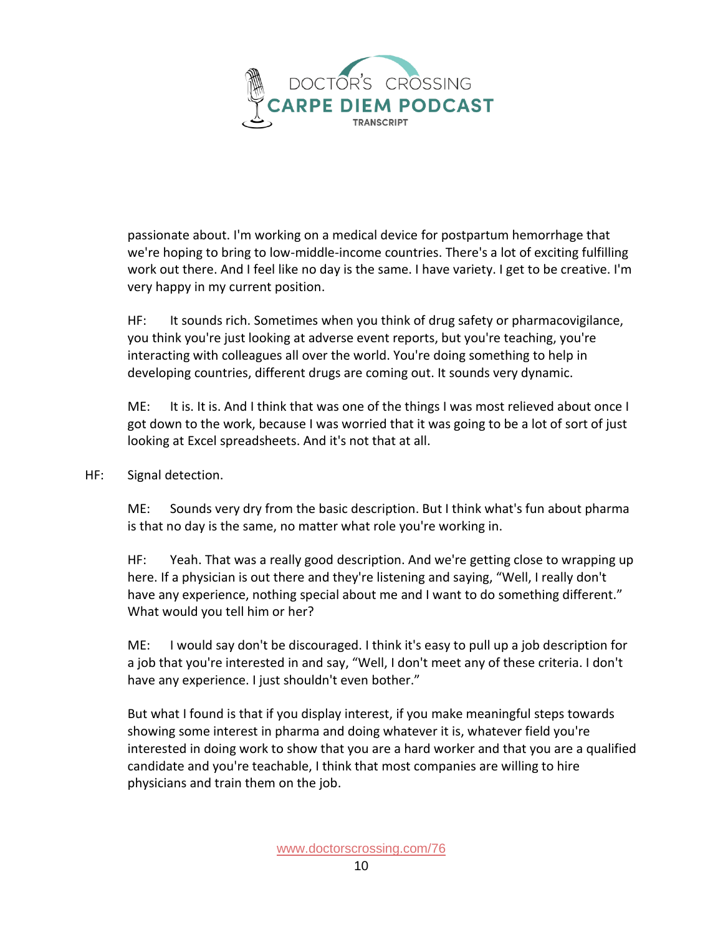

passionate about. I'm working on a medical device for postpartum hemorrhage that we're hoping to bring to low-middle-income countries. There's a lot of exciting fulfilling work out there. And I feel like no day is the same. I have variety. I get to be creative. I'm very happy in my current position.

HF: It sounds rich. Sometimes when you think of drug safety or pharmacovigilance, you think you're just looking at adverse event reports, but you're teaching, you're interacting with colleagues all over the world. You're doing something to help in developing countries, different drugs are coming out. It sounds very dynamic.

ME: It is. It is. And I think that was one of the things I was most relieved about once I got down to the work, because I was worried that it was going to be a lot of sort of just looking at Excel spreadsheets. And it's not that at all.

HF: Signal detection.

ME: Sounds very dry from the basic description. But I think what's fun about pharma is that no day is the same, no matter what role you're working in.

HF: Yeah. That was a really good description. And we're getting close to wrapping up here. If a physician is out there and they're listening and saying, "Well, I really don't have any experience, nothing special about me and I want to do something different." What would you tell him or her?

ME: I would say don't be discouraged. I think it's easy to pull up a job description for a job that you're interested in and say, "Well, I don't meet any of these criteria. I don't have any experience. I just shouldn't even bother."

But what I found is that if you display interest, if you make meaningful steps towards showing some interest in pharma and doing whatever it is, whatever field you're interested in doing work to show that you are a hard worker and that you are a qualified candidate and you're teachable, I think that most companies are willing to hire physicians and train them on the job.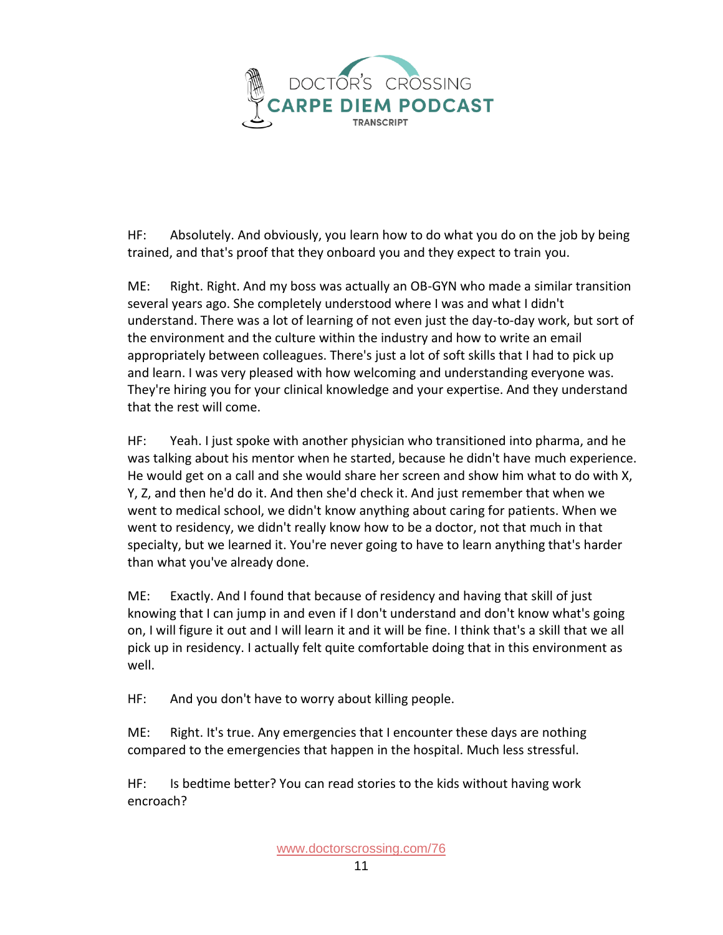

HF: Absolutely. And obviously, you learn how to do what you do on the job by being trained, and that's proof that they onboard you and they expect to train you.

ME: Right. Right. And my boss was actually an OB-GYN who made a similar transition several years ago. She completely understood where I was and what I didn't understand. There was a lot of learning of not even just the day-to-day work, but sort of the environment and the culture within the industry and how to write an email appropriately between colleagues. There's just a lot of soft skills that I had to pick up and learn. I was very pleased with how welcoming and understanding everyone was. They're hiring you for your clinical knowledge and your expertise. And they understand that the rest will come.

HF: Yeah. I just spoke with another physician who transitioned into pharma, and he was talking about his mentor when he started, because he didn't have much experience. He would get on a call and she would share her screen and show him what to do with X, Y, Z, and then he'd do it. And then she'd check it. And just remember that when we went to medical school, we didn't know anything about caring for patients. When we went to residency, we didn't really know how to be a doctor, not that much in that specialty, but we learned it. You're never going to have to learn anything that's harder than what you've already done.

ME: Exactly. And I found that because of residency and having that skill of just knowing that I can jump in and even if I don't understand and don't know what's going on, I will figure it out and I will learn it and it will be fine. I think that's a skill that we all pick up in residency. I actually felt quite comfortable doing that in this environment as well.

HF: And you don't have to worry about killing people.

ME: Right. It's true. Any emergencies that I encounter these days are nothing compared to the emergencies that happen in the hospital. Much less stressful.

HF: Is bedtime better? You can read stories to the kids without having work encroach?